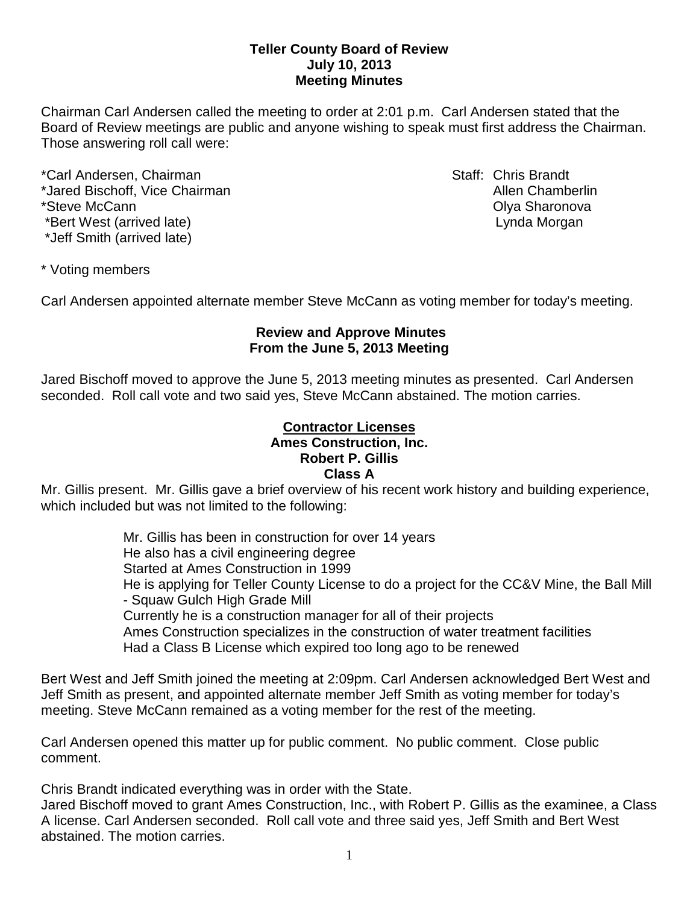## **Teller County Board of Review July 10, 2013 Meeting Minutes**

Chairman Carl Andersen called the meeting to order at 2:01 p.m. Carl Andersen stated that the Board of Review meetings are public and anyone wishing to speak must first address the Chairman. Those answering roll call were:

\*Carl Andersen, Chairman Staff: Chris Brandt \*Jared Bischoff, Vice Chairman Allen Chamberlin Allen Chamberlin \*Steve McCann Olya Sharonova \*Bert West (arrived late) and the state of the state of the Lynda Morgan \*Jeff Smith (arrived late)

\* Voting members

Carl Andersen appointed alternate member Steve McCann as voting member for today's meeting.

## **Review and Approve Minutes From the June 5, 2013 Meeting**

Jared Bischoff moved to approve the June 5, 2013 meeting minutes as presented. Carl Andersen seconded.Roll call vote and two said yes, Steve McCann abstained. The motion carries.

#### **Contractor Licenses Ames Construction, Inc. Robert P. Gillis Class A**

Mr. Gillis present. Mr. Gillis gave a brief overview of his recent work history and building experience, which included but was not limited to the following:

> Mr. Gillis has been in construction for over 14 years He also has a civil engineering degree Started at Ames Construction in 1999 He is applying for Teller County License to do a project for the CC&V Mine, the Ball Mill - Squaw Gulch High Grade Mill Currently he is a construction manager for all of their projects Ames Construction specializes in the construction of water treatment facilities Had a Class B License which expired too long ago to be renewed

Bert West and Jeff Smith joined the meeting at 2:09pm. Carl Andersen acknowledged Bert West and Jeff Smith as present, and appointed alternate member Jeff Smith as voting member for today's meeting. Steve McCann remained as a voting member for the rest of the meeting.

Carl Andersen opened this matter up for public comment. No public comment. Close public comment.

Chris Brandt indicated everything was in order with the State.

Jared Bischoff moved to grant Ames Construction, Inc., with Robert P. Gillis as the examinee, a Class A license. Carl Andersen seconded. Roll call vote and three said yes, Jeff Smith and Bert West abstained. The motion carries.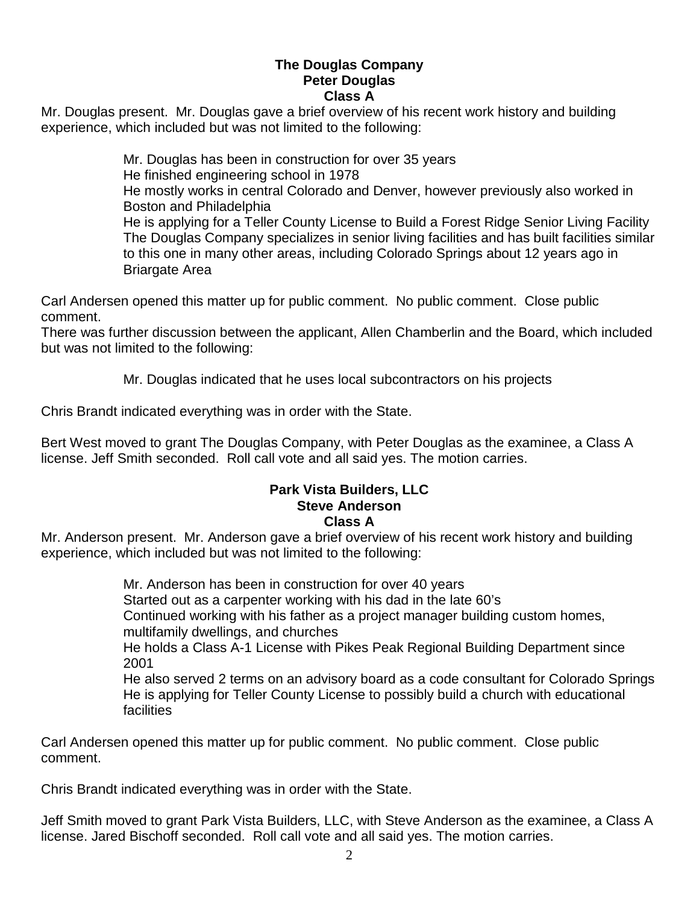# **The Douglas Company Peter Douglas Class A**

Mr. Douglas present. Mr. Douglas gave a brief overview of his recent work history and building experience, which included but was not limited to the following:

> Mr. Douglas has been in construction for over 35 years He finished engineering school in 1978 He mostly works in central Colorado and Denver, however previously also worked in Boston and Philadelphia He is applying for a Teller County License to Build a Forest Ridge Senior Living Facility The Douglas Company specializes in senior living facilities and has built facilities similar to this one in many other areas, including Colorado Springs about 12 years ago in Briargate Area

Carl Andersen opened this matter up for public comment. No public comment. Close public comment.

There was further discussion between the applicant, Allen Chamberlin and the Board, which included but was not limited to the following:

Mr. Douglas indicated that he uses local subcontractors on his projects

Chris Brandt indicated everything was in order with the State.

Bert West moved to grant The Douglas Company, with Peter Douglas as the examinee, a Class A license. Jeff Smith seconded. Roll call vote and all said yes. The motion carries.

#### **Park Vista Builders, LLC Steve Anderson Class A**

Mr. Anderson present. Mr. Anderson gave a brief overview of his recent work history and building experience, which included but was not limited to the following:

> Mr. Anderson has been in construction for over 40 years Started out as a carpenter working with his dad in the late 60's Continued working with his father as a project manager building custom homes, multifamily dwellings, and churches He holds a Class A-1 License with Pikes Peak Regional Building Department since 2001 He also served 2 terms on an advisory board as a code consultant for Colorado Springs He is applying for Teller County License to possibly build a church with educational facilities

Carl Andersen opened this matter up for public comment. No public comment. Close public comment.

Chris Brandt indicated everything was in order with the State.

Jeff Smith moved to grant Park Vista Builders, LLC, with Steve Anderson as the examinee, a Class A license. Jared Bischoff seconded. Roll call vote and all said yes. The motion carries.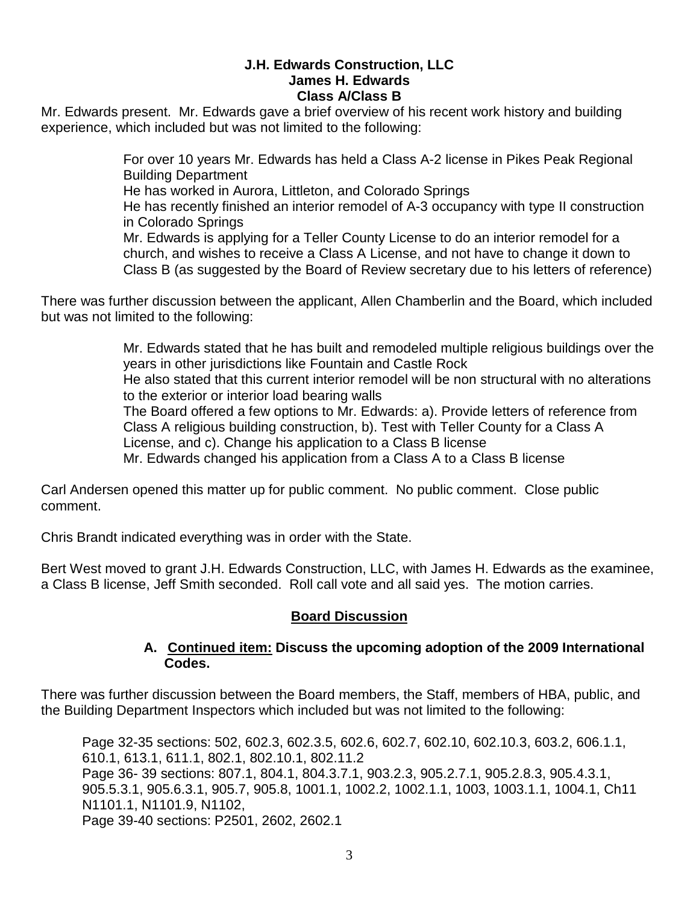# **J.H. Edwards Construction, LLC James H. Edwards Class A/Class B**

Mr. Edwards present. Mr. Edwards gave a brief overview of his recent work history and building experience, which included but was not limited to the following:

> For over 10 years Mr. Edwards has held a Class A-2 license in Pikes Peak Regional Building Department He has worked in Aurora, Littleton, and Colorado Springs He has recently finished an interior remodel of A-3 occupancy with type II construction in Colorado Springs Mr. Edwards is applying for a Teller County License to do an interior remodel for a church, and wishes to receive a Class A License, and not have to change it down to Class B (as suggested by the Board of Review secretary due to his letters of reference)

There was further discussion between the applicant, Allen Chamberlin and the Board, which included but was not limited to the following:

> Mr. Edwards stated that he has built and remodeled multiple religious buildings over the years in other jurisdictions like Fountain and Castle Rock He also stated that this current interior remodel will be non structural with no alterations to the exterior or interior load bearing walls The Board offered a few options to Mr. Edwards: a). Provide letters of reference from Class A religious building construction, b). Test with Teller County for a Class A License, and c). Change his application to a Class B license Mr. Edwards changed his application from a Class A to a Class B license

Carl Andersen opened this matter up for public comment. No public comment. Close public comment.

Chris Brandt indicated everything was in order with the State.

Bert West moved to grant J.H. Edwards Construction, LLC, with James H. Edwards as the examinee, a Class B license, Jeff Smith seconded. Roll call vote and all said yes. The motion carries.

# **Board Discussion**

## **A. Continued item: Discuss the upcoming adoption of the 2009 International Codes.**

There was further discussion between the Board members, the Staff, members of HBA, public, and the Building Department Inspectors which included but was not limited to the following:

Page 32-35 sections: 502, 602.3, 602.3.5, 602.6, 602.7, 602.10, 602.10.3, 603.2, 606.1.1, 610.1, 613.1, 611.1, 802.1, 802.10.1, 802.11.2 Page 36- 39 sections: 807.1, 804.1, 804.3.7.1, 903.2.3, 905.2.7.1, 905.2.8.3, 905.4.3.1, 905.5.3.1, 905.6.3.1, 905.7, 905.8, 1001.1, 1002.2, 1002.1.1, 1003, 1003.1.1, 1004.1, Ch11 N1101.1, N1101.9, N1102, Page 39-40 sections: P2501, 2602, 2602.1